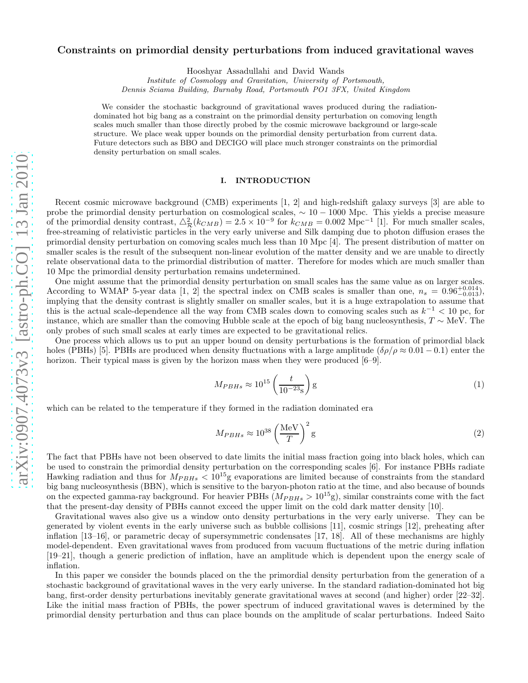# arXiv:0907.4073v3 [astro-ph.CO] 13 Jan 2010 [arXiv:0907.4073v3 \[astro-ph.CO\] 13 Jan 2010](http://arxiv.org/abs/0907.4073v3)

# Constraints on primordial density perturbations from induced gravitational waves

Hooshyar Assadullahi and David Wands

Institute of Cosmology and Gravitation, University of Portsmouth,

Dennis Sciama Building, Burnaby Road, Portsmouth PO1 3FX, United Kingdom

We consider the stochastic background of gravitational waves produced during the radiationdominated hot big bang as a constraint on the primordial density perturbation on comoving length scales much smaller than those directly probed by the cosmic microwave background or large-scale structure. We place weak upper bounds on the primordial density perturbation from current data. Future detectors such as BBO and DECIGO will place much stronger constraints on the primordial density perturbation on small scales.

# I. INTRODUCTION

Recent cosmic microwave background (CMB) experiments [1, 2] and high-redshift galaxy surveys [3] are able to probe the primordial density perturbation on cosmological scales,  $\sim 10 - 1000$  Mpc. This yields a precise measure of the primordial density contrast,  $\Delta_{\mathcal{R}}^2(k_{CMB}) = 2.5 \times 10^{-9}$  for  $k_{CMB} = 0.002$  Mpc<sup>-1</sup> [1]. For much smaller scales, free-streaming of relativistic particles in the very early universe and Silk damping due to photon diffusion erases the primordial density perturbation on comoving scales much less than 10 Mpc [4]. The present distribution of matter on smaller scales is the result of the subsequent non-linear evolution of the matter density and we are unable to directly relate observational data to the primordial distribution of matter. Therefore for modes which are much smaller than 10 Mpc the primordial density perturbation remains undetermined.

One might assume that the primordial density perturbation on small scales has the same value as on larger scales. According to WMAP 5-year data [1, 2] the spectral index on CMB scales is smaller than one,  $n_s = 0.96^{+0.014}_{-0.013}$ ), implying that the density contrast is slightly smaller on smaller scales, but it is a huge extrapolation to assume that this is the actual scale-dependence all the way from CMB scales down to comoving scales such as  $k^{-1}$  < 10 pc, for instance, which are smaller than the comoving Hubble scale at the epoch of big bang nucleosynthesis,  $T \sim \text{MeV}$ . The only probes of such small scales at early times are expected to be gravitational relics.

One process which allows us to put an upper bound on density perturbations is the formation of primordial black holes (PBHs) [5]. PBHs are produced when density fluctuations with a large amplitude  $(\delta \rho / \rho \approx 0.01 - 0.1)$  enter the horizon. Their typical mass is given by the horizon mass when they were produced  $[6-9]$ .

$$
M_{PBHs} \approx 10^{15} \left(\frac{t}{10^{-23} \text{s}}\right) \text{g}
$$
 (1)

which can be related to the temperature if they formed in the radiation dominated era

$$
M_{PBHs} \approx 10^{38} \left(\frac{\text{MeV}}{T}\right)^2 \text{g}
$$
 (2)

The fact that PBHs have not been observed to date limits the initial mass fraction going into black holes, which can be used to constrain the primordial density perturbation on the corresponding scales [6]. For instance PBHs radiate Hawking radiation and thus for  $M_{PBHs} < 10^{15}$ g evaporations are limited because of constraints from the standard big bang nucleosynthesis (BBN), which is sensitive to the baryon-photon ratio at the time, and also because of bounds on the expected gamma-ray background. For heavier PBHs  $(M_{PBHs} > 10^{15}$ g), similar constraints come with the fact that the present-day density of PBHs cannot exceed the upper limit on the cold dark matter density [10].

Gravitational waves also give us a window onto density perturbations in the very early universe. They can be generated by violent events in the early universe such as bubble collisions [11], cosmic strings [12], preheating after inflation [13–16], or parametric decay of supersymmetric condensates [17, 18]. All of these mechanisms are highly model-dependent. Even gravitational waves from produced from vacuum fluctuations of the metric during inflation [19–21], though a generic prediction of inflation, have an amplitude which is dependent upon the energy scale of inflation.

In this paper we consider the bounds placed on the the primordial density perturbation from the generation of a stochastic background of gravitational waves in the very early universe. In the standard radiation-dominated hot big bang, first-order density perturbations inevitably generate gravitational waves at second (and higher) order [22–32]. Like the initial mass fraction of PBHs, the power spectrum of induced gravitational waves is determined by the primordial density perturbation and thus can place bounds on the amplitude of scalar perturbations. Indeed Saito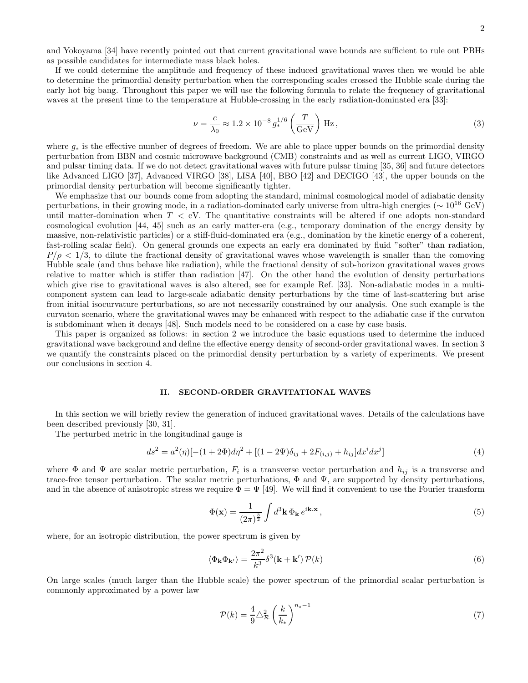and Yokoyama [34] have recently pointed out that current gravitational wave bounds are sufficient to rule out PBHs as possible candidates for intermediate mass black holes.

If we could determine the amplitude and frequency of these induced gravitational waves then we would be able to determine the primordial density perturbation when the corresponding scales crossed the Hubble scale during the early hot big bang. Throughout this paper we will use the following formula to relate the frequency of gravitational waves at the present time to the temperature at Hubble-crossing in the early radiation-dominated era [33]:

$$
\nu = \frac{c}{\lambda_0} \approx 1.2 \times 10^{-8} g_*^{1/6} \left(\frac{T}{\text{GeV}}\right) \text{Hz},\qquad(3)
$$

where g<sup>∗</sup> is the effective number of degrees of freedom. We are able to place upper bounds on the primordial density perturbation from BBN and cosmic microwave background (CMB) constraints and as well as current LIGO, VIRGO and pulsar timing data. If we do not detect gravitational waves with future pulsar timing [35, 36] and future detectors like Advanced LIGO [37], Advanced VIRGO [38], LISA [40], BBO [42] and DECIGO [43], the upper bounds on the primordial density perturbation will become significantly tighter.

We emphasize that our bounds come from adopting the standard, minimal cosmological model of adiabatic density perturbations, in their growing mode, in a radiation-dominated early universe from ultra-high energies ( $\sim 10^{16}$  GeV) until matter-domination when  $T < eV$ . The quantitative constraints will be altered if one adopts non-standard cosmological evolution [44, 45] such as an early matter-era (e.g., temporary domination of the energy density by massive, non-relativistic particles) or a stiff-fluid-dominated era (e.g., domination by the kinetic energy of a coherent, fast-rolling scalar field). On general grounds one expects an early era dominated by fluid "softer" than radiation,  $P/\rho < 1/3$ , to dilute the fractional density of gravitational waves whose wavelength is smaller than the comoving Hubble scale (and thus behave like radiation), while the fractional density of sub-horizon gravitational waves grows relative to matter which is stiffer than radiation [47]. On the other hand the evolution of density perturbations which give rise to gravitational waves is also altered, see for example Ref. [33]. Non-adiabatic modes in a multicomponent system can lead to large-scale adiabatic density perturbations by the time of last-scattering but arise from initial isocurvature perturbations, so are not necessarily constrained by our analysis. One such example is the curvaton scenario, where the gravitational waves may be enhanced with respect to the adiabatic case if the curvaton is subdominant when it decays [48]. Such models need to be considered on a case by case basis.

This paper is organized as follows: in section 2 we introduce the basic equations used to determine the induced gravitational wave background and define the effective energy density of second-order gravitational waves. In section 3 we quantify the constraints placed on the primordial density perturbation by a variety of experiments. We present our conclusions in section 4.

# II. SECOND-ORDER GRAVITATIONAL WAVES

In this section we will briefly review the generation of induced gravitational waves. Details of the calculations have been described previously [30, 31].

The perturbed metric in the longitudinal gauge is

$$
ds^{2} = a^{2}(\eta)[-(1+2\Phi)d\eta^{2} + [(1-2\Psi)\delta_{ij} + 2F_{(i,j)} + h_{ij}]dx^{i}dx^{j}]
$$
\n(4)

where  $\Phi$  and  $\Psi$  are scalar metric perturbation,  $F_i$  is a transverse vector perturbation and  $h_{ij}$  is a transverse and trace-free tensor perturbation. The scalar metric perturbations,  $\Phi$  and  $\Psi$ , are supported by density perturbations, and in the absence of anisotropic stress we require  $\Phi = \Psi$  [49]. We will find it convenient to use the Fourier transform

$$
\Phi(\mathbf{x}) = \frac{1}{(2\pi)^{\frac{3}{2}}} \int d^3 \mathbf{k} \, \Phi_\mathbf{k} \, e^{i\mathbf{k} \cdot \mathbf{x}},\tag{5}
$$

where, for an isotropic distribution, the power spectrum is given by

$$
\langle \Phi_{\mathbf{k}} \Phi_{\mathbf{k'}} \rangle = \frac{2\pi^2}{k^3} \delta^3(\mathbf{k} + \mathbf{k'}) \mathcal{P}(k)
$$
 (6)

On large scales (much larger than the Hubble scale) the power spectrum of the primordial scalar perturbation is commonly approximated by a power law

$$
\mathcal{P}(k) = \frac{4}{9} \triangle^2_{\mathcal{R}} \left(\frac{k}{k_*}\right)^{n_s - 1} \tag{7}
$$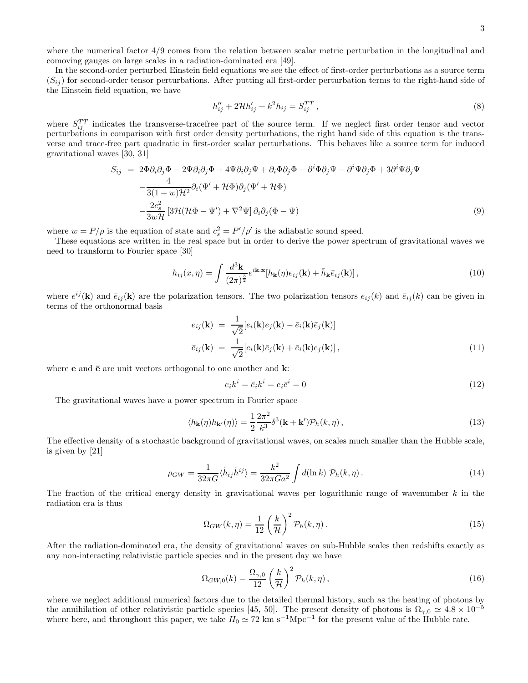where the numerical factor 4/9 comes from the relation between scalar metric perturbation in the longitudinal and comoving gauges on large scales in a radiation-dominated era [49].

In the second-order perturbed Einstein field equations we see the effect of first-order perturbations as a source term  $(S_{ij})$  for second-order tensor perturbations. After putting all first-order perturbation terms to the right-hand side of the Einstein field equation, we have

$$
h_{ij}'' + 2\mathcal{H}h_{ij}' + k^2h_{ij} = S_{ij}^{TT},
$$
\n(8)

where  $S_{ij}^{TT}$  indicates the transverse-tracefree part of the source term. If we neglect first order tensor and vector perturbations in comparison with first order density perturbations, the right hand side of this equation is the transverse and trace-free part quadratic in first-order scalar perturbations. This behaves like a source term for induced gravitational waves [30, 31]

$$
S_{ij} = 2\Phi \partial_i \partial_j \Phi - 2\Psi \partial_i \partial_j \Phi + 4\Psi \partial_i \partial_j \Psi + \partial_i \Phi \partial_j \Phi - \partial^i \Phi \partial_j \Psi - \partial^i \Psi \partial_j \Phi + 3\partial^i \Psi \partial_j \Psi
$$
  

$$
-\frac{4}{3(1+w)\mathcal{H}^2} \partial_i (\Psi' + \mathcal{H}\Phi) \partial_j (\Psi' + \mathcal{H}\Phi)
$$
  

$$
-\frac{2c_s^2}{3w\mathcal{H}} [3\mathcal{H}(\mathcal{H}\Phi - \Psi') + \nabla^2 \Psi] \partial_i \partial_j (\Phi - \Psi)
$$
 (9)

where  $w = P/\rho$  is the equation of state and  $c_s^2 = P'/\rho'$  is the adiabatic sound speed.

These equations are written in the real space but in order to derive the power spectrum of gravitational waves we need to transform to Fourier space [30]

$$
h_{ij}(x,\eta) = \int \frac{d^3 \mathbf{k}}{(2\pi)^{\frac{3}{2}}} e^{i\mathbf{k} \cdot \mathbf{x}} [h_{\mathbf{k}}(\eta) e_{ij}(\mathbf{k}) + \bar{h}_{\mathbf{k}} \bar{e}_{ij}(\mathbf{k})], \qquad (10)
$$

where  $e^{ij}(\mathbf{k})$  and  $\bar{e}_{ij}(\mathbf{k})$  are the polarization tensors. The two polarization tensors  $e_{ij}(k)$  and  $\bar{e}_{ij}(k)$  can be given in terms of the orthonormal basis

$$
e_{ij}(\mathbf{k}) = \frac{1}{\sqrt{2}} [e_i(\mathbf{k})e_j(\mathbf{k}) - \bar{e}_i(\mathbf{k})\bar{e}_j(\mathbf{k})]
$$
  

$$
\bar{e}_{ij}(\mathbf{k}) = \frac{1}{\sqrt{2}} [e_i(\mathbf{k})\bar{e}_j(\mathbf{k}) + \bar{e}_i(\mathbf{k})e_j(\mathbf{k})],
$$
 (11)

where **e** and  $\bar{e}$  are unit vectors orthogonal to one another and **k**:

$$
e_i k^i = \bar{e}_i k^i = e_i \bar{e}^i = 0 \tag{12}
$$

The gravitational waves have a power spectrum in Fourier space

$$
\langle h_{\mathbf{k}}(\eta)h_{\mathbf{k'}}(\eta)\rangle = \frac{1}{2}\frac{2\pi^2}{k^3}\delta^3(\mathbf{k} + \mathbf{k'})\mathcal{P}_h(k, \eta) ,
$$
\n(13)

The effective density of a stochastic background of gravitational waves, on scales much smaller than the Hubble scale, is given by [21]

$$
\rho_{GW} = \frac{1}{32\pi G} \langle \dot{h}_{ij} \dot{h}^{ij} \rangle = \frac{k^2}{32\pi G a^2} \int d(\ln k) \mathcal{P}_h(k, \eta). \tag{14}
$$

The fraction of the critical energy density in gravitational waves per logarithmic range of wavenumber k in the radiation era is thus

$$
\Omega_{GW}(k,\eta) = \frac{1}{12} \left(\frac{k}{\mathcal{H}}\right)^2 \mathcal{P}_h(k,\eta). \tag{15}
$$

After the radiation-dominated era, the density of gravitational waves on sub-Hubble scales then redshifts exactly as any non-interacting relativistic particle species and in the present day we have

$$
\Omega_{GW,0}(k) = \frac{\Omega_{\gamma,0}}{12} \left(\frac{k}{\mathcal{H}}\right)^2 \mathcal{P}_h(k,\eta),\tag{16}
$$

where we neglect additional numerical factors due to the detailed thermal history, such as the heating of photons by the annihilation of other relativistic particle species [45, 50]. The present density of photons is  $\Omega_{\gamma,0} \simeq 4.8 \times 10^{-5}$ where here, and throughout this paper, we take  $H_0 \simeq 72 \text{ km s}^{-1}\text{Mpc}^{-1}$  for the present value of the Hubble rate.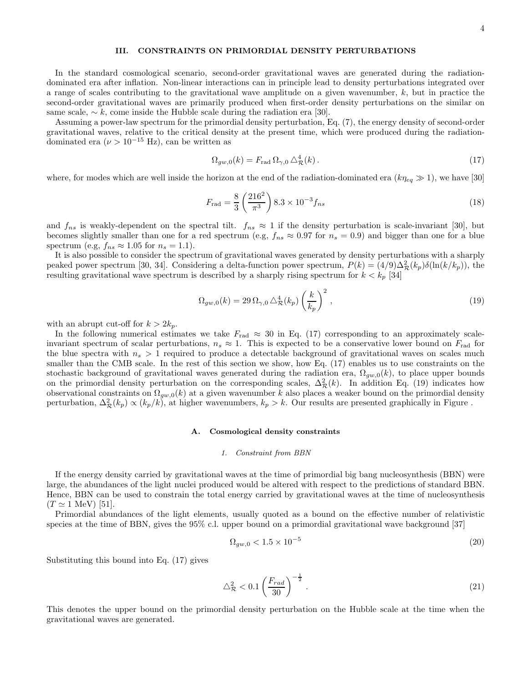# III. CONSTRAINTS ON PRIMORDIAL DENSITY PERTURBATIONS

In the standard cosmological scenario, second-order gravitational waves are generated during the radiationdominated era after inflation. Non-linear interactions can in principle lead to density perturbations integrated over a range of scales contributing to the gravitational wave amplitude on a given wavenumber, k, but in practice the second-order gravitational waves are primarily produced when first-order density perturbations on the similar on same scale,  $\sim k$ , come inside the Hubble scale during the radiation era [30].

Assuming a power-law spectrum for the primordial density perturbation, Eq. (7), the energy density of second-order gravitational waves, relative to the critical density at the present time, which were produced during the radiationdominated era ( $\nu > 10^{-15}$  Hz), can be written as

$$
\Omega_{gw,0}(k) = F_{\text{rad}} \Omega_{\gamma,0} \Delta_{\mathcal{R}}^4(k). \tag{17}
$$

where, for modes which are well inside the horizon at the end of the radiation-dominated era  $(k\eta_{eq} \gg 1)$ , we have [30]

$$
F_{\rm rad} = \frac{8}{3} \left( \frac{216^2}{\pi^3} \right) 8.3 \times 10^{-3} f_{ns} \tag{18}
$$

and  $f_{ns}$  is weakly-dependent on the spectral tilt.  $f_{ns} \approx 1$  if the density perturbation is scale-invariant [30], but becomes slightly smaller than one for a red spectrum (e.g,  $f_{ns} \approx 0.97$  for  $n_s = 0.9$ ) and bigger than one for a blue spectrum (e.g,  $f_{ns} \approx 1.05$  for  $n_s = 1.1$ ).

It is also possible to consider the spectrum of gravitational waves generated by density perturbations with a sharply peaked power spectrum [30, 34]. Considering a delta-function power spectrum,  $P(k) = (4/9)\Delta_{\mathcal{R}}^2(k_p)\delta(\ln(k/k_p))$ , the resulting gravitational wave spectrum is described by a sharply rising spectrum for  $k < k_p$  [34]

$$
\Omega_{gw,0}(k) = 29 \,\Omega_{\gamma,0} \,\triangle_{\mathcal{R}}^4(k_p) \left(\frac{k}{k_p}\right)^2 \,,\tag{19}
$$

with an abrupt cut-off for  $k > 2k_p$ .

In the following numerical estimates we take  $F_{\text{rad}} \approx 30$  in Eq. (17) corresponding to an approximately scaleinvariant spectrum of scalar perturbations,  $n_s \approx 1$ . This is expected to be a conservative lower bound on  $F_{\text{rad}}$  for the blue spectra with  $n_s > 1$  required to produce a detectable background of gravitational waves on scales much smaller than the CMB scale. In the rest of this section we show, how Eq. (17) enables us to use constraints on the stochastic background of gravitational waves generated during the radiation era,  $\Omega_{gw,0}(k)$ , to place upper bounds on the primordial density perturbation on the corresponding scales,  $\Delta_{\mathcal{R}}^2(k)$ . In addition Eq. (19) indicates how observational constraints on  $\Omega_{gw,0}(k)$  at a given wavenumber k also places a weaker bound on the primordial density perturbation,  $\Delta_{\mathcal{R}}^2(k_p) \propto (k_p/k)$ , at higher wavenumbers,  $k_p > k$ . Our results are presented graphically in Figure.

### A. Cosmological density constraints

### 1. Constraint from BBN

If the energy density carried by gravitational waves at the time of primordial big bang nucleosynthesis (BBN) were large, the abundances of the light nuclei produced would be altered with respect to the predictions of standard BBN. Hence, BBN can be used to constrain the total energy carried by gravitational waves at the time of nucleosynthesis  $(T \simeq 1 \text{ MeV})$  [51].

Primordial abundances of the light elements, usually quoted as a bound on the effective number of relativistic species at the time of BBN, gives the 95% c.l. upper bound on a primordial gravitational wave background [37]

$$
\Omega_{gw,0} < 1.5 \times 10^{-5} \tag{20}
$$

Substituting this bound into Eq. (17) gives

$$
\triangle^2_{\mathcal{R}} < 0.1 \left(\frac{F_{rad}}{30}\right)^{-\frac{1}{2}}.\tag{21}
$$

This denotes the upper bound on the primordial density perturbation on the Hubble scale at the time when the gravitational waves are generated.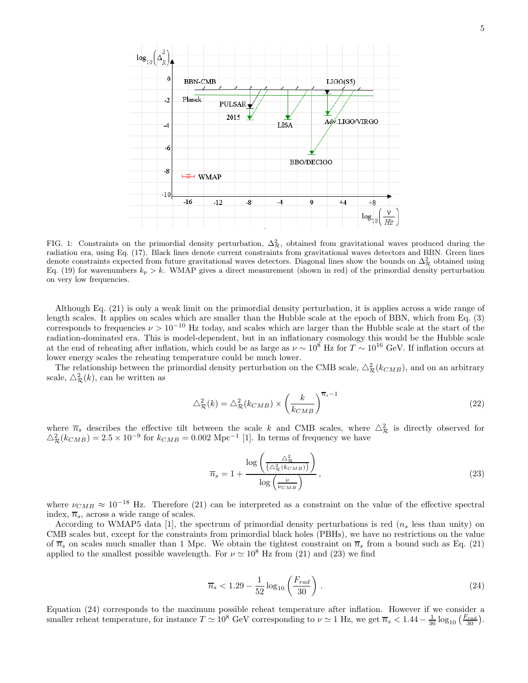

FIG. 1: Constraints on the primordial density perturbation,  $\Delta_{\mathcal{R}}^2$ , obtained from gravitational waves produced during the radiation era, using Eq. (17). Black lines denote current constraints from gravitational waves detectors and BBN. Green lines denote constraints expected from future gravitational waves detectors. Diagonal lines show the bounds on  $\Delta_{\mathcal{R}}^2$  obtained using Eq. (19) for wavenumbers  $k_p > k$ . WMAP gives a direct measurement (shown in red) of the primordial density perturbation on very low frequencies.

Although Eq. (21) is only a weak limit on the primordial density perturbation, it is applies across a wide range of length scales. It applies on scales which are smaller than the Hubble scale at the epoch of BBN, which from Eq. (3) corresponds to frequencies  $\nu > 10^{-10}$  Hz today, and scales which are larger than the Hubble scale at the start of the radiation-dominated era. This is model-dependent, but in an inflationary cosmology this would be the Hubble scale at the end of reheating after inflation, which could be as large as  $\nu \sim 10^8$  Hz for  $T \sim 10^{16}$  GeV. If inflation occurs at lower energy scales the reheating temperature could be much lower.

The relationship between the primordial density perturbation on the CMB scale,  $\triangle^2_{\mathcal{R}}(k_{CMB})$ , and on an arbitrary scale,  $\triangle^2_{\mathcal{R}}(k)$ , can be written as

$$
\triangle_{\mathcal{R}}^2(k) = \triangle_{\mathcal{R}}^2(k_{CMB}) \times \left(\frac{k}{k_{CMB}}\right)^{\overline{n}_s - 1} \tag{22}
$$

where  $\overline{n}_s$  describes the effective tilt between the scale k and CMB scales, where  $\Delta_{\mathcal{R}}^2$  is directly observed for  $\Delta_{\mathcal{R}}^2(k_{CMB}) = 2.5 \times 10^{-9}$  for  $k_{CMB} = 0.002$  Mpc<sup>-1</sup> [1]. In terms of frequency we have

$$
\overline{n}_s = 1 + \frac{\log\left(\frac{\Delta_{\mathcal{R}}^2}{\left(\Delta_{\mathcal{R}}^2 \left(k_{CMB}\right)\right)}\right)}{\log\left(\frac{\nu}{\nu_{CMB}}\right)},\tag{23}
$$

where  $\nu_{CMB} \approx 10^{-18}$  Hz. Therefore (21) can be interpreted as a constraint on the value of the effective spectral index,  $\overline{n}_s$ , across a wide range of scales.

According to WMAP5 data [1], the spectrum of primordial density perturbations is red  $(n<sub>s</sub>$  less than unity) on CMB scales but, except for the constraints from primordial black holes (PBHs), we have no restrictions on the value of  $\overline{n}_s$  on scales much smaller than 1 Mpc. We obtain the tightest constraint on  $\overline{n}_s$  from a bound such as Eq. (21) applied to the smallest possible wavelength. For  $\nu \approx 10^8$  Hz from (21) and (23) we find

$$
\overline{n}_s < 1.29 - \frac{1}{52} \log_{10} \left( \frac{F_{rad}}{30} \right) \,. \tag{24}
$$

Equation (24) corresponds to the maximum possible reheat temperature after inflation. However if we consider a smaller reheat temperature, for instance  $T \simeq 10^8$  GeV corresponding to  $\nu \simeq 1$  Hz, we get  $\overline{n}_s < 1.44 - \frac{1}{36} \log_{10} \left( \frac{F_{rad}}{30} \right)$ .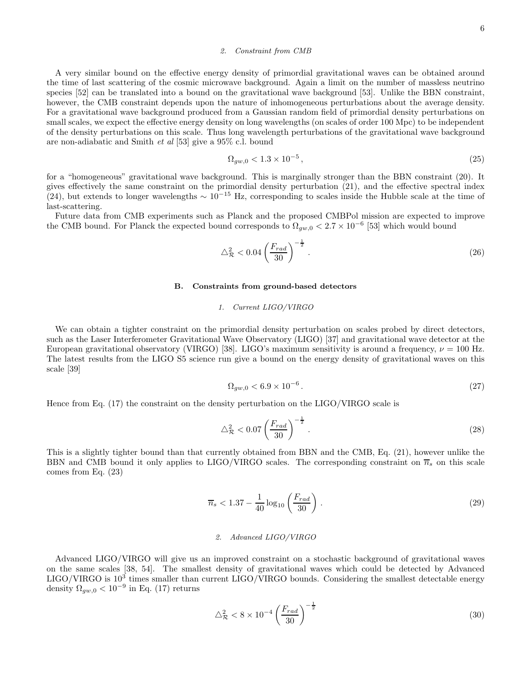### 2. Constraint from CMB

A very similar bound on the effective energy density of primordial gravitational waves can be obtained around the time of last scattering of the cosmic microwave background. Again a limit on the number of massless neutrino species [52] can be translated into a bound on the gravitational wave background [53]. Unlike the BBN constraint, however, the CMB constraint depends upon the nature of inhomogeneous perturbations about the average density. For a gravitational wave background produced from a Gaussian random field of primordial density perturbations on small scales, we expect the effective energy density on long wavelengths (on scales of order 100 Mpc) to be independent of the density perturbations on this scale. Thus long wavelength perturbations of the gravitational wave background are non-adiabatic and Smith et al [53] give a 95% c.l. bound

$$
\Omega_{gw,0} < 1.3 \times 10^{-5} \,,\tag{25}
$$

for a "homogeneous" gravitational wave background. This is marginally stronger than the BBN constraint (20). It gives effectively the same constraint on the primordial density perturbation (21), and the effective spectral index (24), but extends to longer wavelengths  $\sim 10^{-15}$  Hz, corresponding to scales inside the Hubble scale at the time of last-scattering.

Future data from CMB experiments such as Planck and the proposed CMBPol mission are expected to improve the CMB bound. For Planck the expected bound corresponds to  $\Omega_{gw,0} < 2.7 \times 10^{-6}$  [53] which would bound

$$
\Delta_{\mathcal{R}}^2 < 0.04 \left(\frac{F_{rad}}{30}\right)^{-\frac{1}{2}}.\tag{26}
$$

### B. Constraints from ground-based detectors

# 1. Current LIGO/VIRGO

We can obtain a tighter constraint on the primordial density perturbation on scales probed by direct detectors, such as the Laser Interferometer Gravitational Wave Observatory (LIGO) [37] and gravitational wave detector at the European gravitational observatory (VIRGO) [38]. LIGO's maximum sensitivity is around a frequency,  $\nu = 100$  Hz. The latest results from the LIGO S5 science run give a bound on the energy density of gravitational waves on this scale [39]

$$
\Omega_{gw,0} < 6.9 \times 10^{-6} \,. \tag{27}
$$

Hence from Eq. (17) the constraint on the density perturbation on the LIGO/VIRGO scale is

$$
\Delta_{\mathcal{R}}^2 < 0.07 \left(\frac{F_{rad}}{30}\right)^{-\frac{1}{2}}.\tag{28}
$$

This is a slightly tighter bound than that currently obtained from BBN and the CMB, Eq. (21), however unlike the BBN and CMB bound it only applies to LIGO/VIRGO scales. The corresponding constraint on  $\overline{n}_s$  on this scale comes from Eq. (23)

$$
\overline{n}_s < 1.37 - \frac{1}{40} \log_{10} \left( \frac{F_{rad}}{30} \right) \,. \tag{29}
$$

### 2. Advanced LIGO/VIRGO

Advanced LIGO/VIRGO will give us an improved constraint on a stochastic background of gravitational waves on the same scales [38, 54]. The smallest density of gravitational waves which could be detected by Advanced LIGO/VIRGO is  $10^3$  times smaller than current LIGO/VIRGO bounds. Considering the smallest detectable energy density  $\Omega_{gw,0} < 10^{-9}$  in Eq. (17) returns

$$
\Delta_{\mathcal{R}}^2 < 8 \times 10^{-4} \left( \frac{F_{rad}}{30} \right)^{-\frac{1}{2}} \tag{30}
$$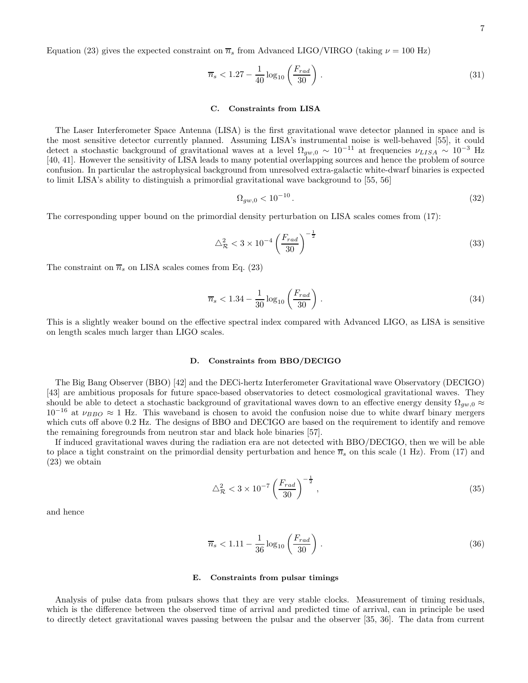Equation (23) gives the expected constraint on  $\overline{n}_s$  from Advanced LIGO/VIRGO (taking  $\nu = 100$  Hz)

$$
\overline{n}_s < 1.27 - \frac{1}{40} \log_{10} \left( \frac{F_{rad}}{30} \right) \,. \tag{31}
$$

### C. Constraints from LISA

The Laser Interferometer Space Antenna (LISA) is the first gravitational wave detector planned in space and is the most sensitive detector currently planned. Assuming LISA's instrumental noise is well-behaved [55], it could detect a stochastic background of gravitational waves at a level  $\Omega_{gw,0} \sim 10^{-11}$  at frequencies  $\nu_{LISA} \sim 10^{-3}$  Hz [40, 41]. However the sensitivity of LISA leads to many potential overlapping sources and hence the problem of source confusion. In particular the astrophysical background from unresolved extra-galactic white-dwarf binaries is expected to limit LISA's ability to distinguish a primordial gravitational wave background to [55, 56]

$$
\Omega_{gw,0} < 10^{-10} \,. \tag{32}
$$

The corresponding upper bound on the primordial density perturbation on LISA scales comes from (17):

$$
\Delta_{\mathcal{R}}^2 < 3 \times 10^{-4} \left( \frac{F_{rad}}{30} \right)^{-\frac{1}{2}} \tag{33}
$$

The constraint on  $\overline{n}_s$  on LISA scales comes from Eq. (23)

$$
\overline{n}_s < 1.34 - \frac{1}{30} \log_{10} \left( \frac{F_{rad}}{30} \right) \,. \tag{34}
$$

This is a slightly weaker bound on the effective spectral index compared with Advanced LIGO, as LISA is sensitive on length scales much larger than LIGO scales.

### D. Constraints from BBO/DECIGO

The Big Bang Observer (BBO) [42] and the DECi-hertz Interferometer Gravitational wave Observatory (DECIGO) [43] are ambitious proposals for future space-based observatories to detect cosmological gravitational waves. They should be able to detect a stochastic background of gravitational waves down to an effective energy density  $\Omega_{gw,0} \approx$  $10^{-16}$  at  $\nu_{BBO} \approx 1$  Hz. This waveband is chosen to avoid the confusion noise due to white dwarf binary mergers which cuts off above 0.2 Hz. The designs of BBO and DECIGO are based on the requirement to identify and remove the remaining foregrounds from neutron star and black hole binaries [57].

If induced gravitational waves during the radiation era are not detected with BBO/DECIGO, then we will be able to place a tight constraint on the primordial density perturbation and hence  $\overline{n}_s$  on this scale (1 Hz). From (17) and (23) we obtain

$$
\Delta_{\mathcal{R}}^2 < 3 \times 10^{-7} \left( \frac{F_{rad}}{30} \right)^{-\frac{1}{2}},\tag{35}
$$

and hence

$$
\overline{n}_s < 1.11 - \frac{1}{36} \log_{10} \left( \frac{F_{rad}}{30} \right) \,. \tag{36}
$$

### E. Constraints from pulsar timings

Analysis of pulse data from pulsars shows that they are very stable clocks. Measurement of timing residuals, which is the difference between the observed time of arrival and predicted time of arrival, can in principle be used to directly detect gravitational waves passing between the pulsar and the observer [35, 36]. The data from current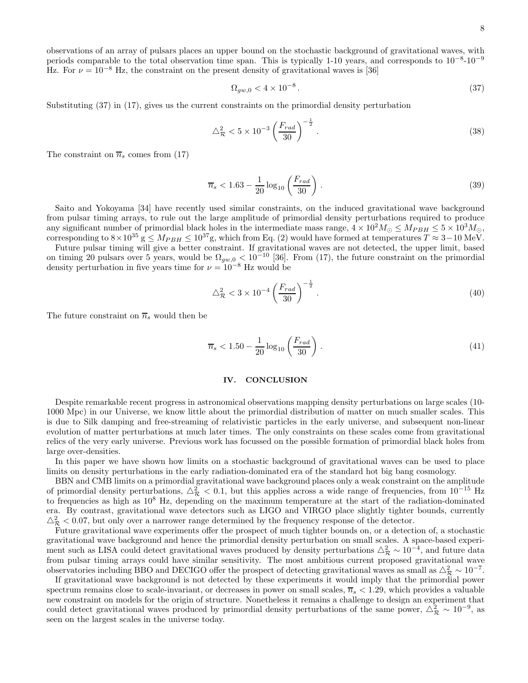observations of an array of pulsars places an upper bound on the stochastic background of gravitational waves, with periods comparable to the total observation time span. This is typically 1-10 years, and corresponds to  $10^{-8}$ - $10^{-9}$ Hz. For  $\nu = 10^{-8}$  Hz, the constraint on the present density of gravitational waves is [36]

$$
\Omega_{gw,0} < 4 \times 10^{-8} \,. \tag{37}
$$

Substituting (37) in (17), gives us the current constraints on the primordial density perturbation

$$
\Delta_{\mathcal{R}}^2 < 5 \times 10^{-3} \left( \frac{F_{rad}}{30} \right)^{-\frac{1}{2}} \,. \tag{38}
$$

The constraint on  $\overline{n}_s$  comes from (17)

$$
\overline{n}_s < 1.63 - \frac{1}{20} \log_{10} \left( \frac{F_{rad}}{30} \right) \,. \tag{39}
$$

Saito and Yokoyama [34] have recently used similar constraints, on the induced gravitational wave background from pulsar timing arrays, to rule out the large amplitude of primordial density perturbations required to produce any significant number of primordial black holes in the intermediate mass range,  $4 \times 10^2 M_{\odot} \leq M_{PBH} \leq 5 \times 10^3 M_{\odot}$ , corresponding to  $8 \times 10^{35}$  g  $\leq M_{PBH} \leq 10^{37}$ g, which from Eq. (2) would have formed at temperatures  $T \approx 3-10$  MeV.

Future pulsar timing will give a better constraint. If gravitational waves are not detected, the upper limit, based on timing 20 pulsars over 5 years, would be  $\Omega_{gw,0} < 10^{-10}$  [36]. From (17), the future constraint on the primordial density perturbation in five years time for  $\nu = 10^{-8}$  Hz would be

$$
\Delta_{\mathcal{R}}^2 < 3 \times 10^{-4} \left( \frac{F_{rad}}{30} \right)^{-\frac{1}{2}} \,. \tag{40}
$$

The future constraint on  $\overline{n}_s$  would then be

$$
\overline{n}_s < 1.50 - \frac{1}{20} \log_{10} \left( \frac{F_{rad}}{30} \right) \,. \tag{41}
$$

# IV. CONCLUSION

Despite remarkable recent progress in astronomical observations mapping density perturbations on large scales (10- 1000 Mpc) in our Universe, we know little about the primordial distribution of matter on much smaller scales. This is due to Silk damping and free-streaming of relativistic particles in the early universe, and subsequent non-linear evolution of matter perturbations at much later times. The only constraints on these scales come from gravitational relics of the very early universe. Previous work has focussed on the possible formation of primordial black holes from large over-densities.

In this paper we have shown how limits on a stochastic background of gravitational waves can be used to place limits on density perturbations in the early radiation-dominated era of the standard hot big bang cosmology.

BBN and CMB limits on a primordial gravitational wave background places only a weak constraint on the amplitude of primordial density perturbations,  $\Delta_{\mathcal{R}}^2 < 0.1$ , but this applies across a wide range of frequencies, from  $10^{-15}$  Hz to frequencies as high as 10<sup>8</sup> Hz, depending on the maximum temperature at the start of the radiation-dominated era. By contrast, gravitational wave detectors such as LIGO and VIRGO place slightly tighter bounds, currently  $\Delta_{\mathcal{R}}^2$  < 0.07, but only over a narrower range determined by the frequency response of the detector.

Future gravitational wave experiments offer the prospect of much tighter bounds on, or a detection of, a stochastic gravitational wave background and hence the primordial density perturbation on small scales. A space-based experiment such as LISA could detect gravitational waves produced by density perturbations  $\triangle^2_{\mathcal{R}} \sim 10^{-4}$ , and future data from pulsar timing arrays could have similar sensitivity. The most ambitious current proposed gravitational wave observatories including BBO and DECIGO offer the prospect of detecting gravitational waves as small as  $\triangle^2_{\mathcal{R}} \sim 10^{-7}$ .

If gravitational wave background is not detected by these experiments it would imply that the primordial power spectrum remains close to scale-invariant, or decreases in power on small scales,  $\overline{n}_s < 1.29$ , which provides a valuable new constraint on models for the origin of structure. Nonetheless it remains a challenge to design an experiment that could detect gravitational waves produced by primordial density perturbations of the same power,  $\Delta_{\mathcal{R}}^2 \sim 10^{-9}$ , as seen on the largest scales in the universe today.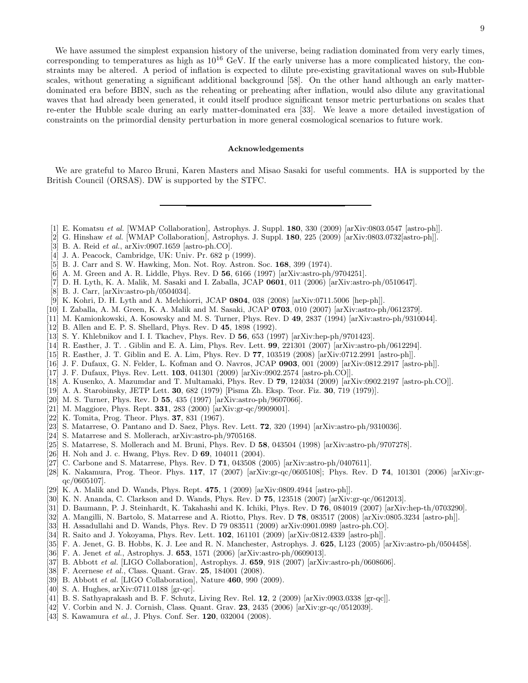We have assumed the simplest expansion history of the universe, being radiation dominated from very early times, corresponding to temperatures as high as  $10^{16}$  GeV. If the early universe has a more complicated history, the constraints may be altered. A period of inflation is expected to dilute pre-existing gravitational waves on sub-Hubble scales, without generating a significant additional background [58]. On the other hand although an early matterdominated era before BBN, such as the reheating or preheating after inflation, would also dilute any gravitational waves that had already been generated, it could itself produce significant tensor metric perturbations on scales that re-enter the Hubble scale during an early matter-dominated era [33]. We leave a more detailed investigation of constraints on the primordial density perturbation in more general cosmological scenarios to future work.

### Acknowledgements

We are grateful to Marco Bruni, Karen Masters and Misao Sasaki for useful comments. HA is supported by the British Council (ORSAS). DW is supported by the STFC.

- [1] E. Komatsu et al. [WMAP Collaboration], Astrophys. J. Suppl. 180, 330 (2009) [arXiv:0803.0547 [astro-ph]].
- [2] G. Hinshaw et al. [WMAP Collaboration], Astrophys. J. Suppl. 180, 225 (2009) [arXiv:0803.0732[astro-ph]].
- [3] B. A. Reid et al., arXiv:0907.1659 [astro-ph.CO].
- [4] J. A. Peacock, Cambridge, UK: Univ. Pr. 682 p (1999).
- [5] B. J. Carr and S. W. Hawking, Mon. Not. Roy. Astron. Soc. 168, 399 (1974).
- [6] A. M. Green and A. R. Liddle, Phys. Rev. D 56, 6166 (1997) [arXiv:astro-ph/9704251].
- [7] D. H. Lyth, K. A. Malik, M. Sasaki and I. Zaballa, JCAP 0601, 011 (2006) [arXiv:astro-ph/0510647].
- [8] B. J. Carr, [arXiv:astro-ph/0504034].
- [9] K. Kohri, D. H. Lyth and A. Melchiorri, JCAP 0804, 038 (2008) [arXiv:0711.5006 [hep-ph]].
- [10] I. Zaballa, A. M. Green, K. A. Malik and M. Sasaki, JCAP 0703, 010 (2007) [arXiv:astro-ph/0612379].
- [11] M. Kamionkowski, A. Kosowsky and M. S. Turner, Phys. Rev. D 49, 2837 (1994) [arXiv:astro-ph/9310044].
- [12] B. Allen and E. P. S. Shellard, Phys. Rev. D 45, 1898 (1992).
- [13] S. Y. Khlebnikov and I. I. Tkachev, Phys. Rev. D **56**, 653 (1997) [arXiv:hep-ph/9701423].
- [14] R. Easther, J. T. . Giblin and E. A. Lim, Phys. Rev. Lett. 99, 221301 (2007) [arXiv:astro-ph/0612294].
- [15] R. Easther, J. T. Giblin and E. A. Lim, Phys. Rev. D 77, 103519 (2008) [arXiv:0712.2991 [astro-ph]].
- [16] J. F. Dufaux, G. N. Felder, L. Kofman and O. Navros, JCAP 0903, 001 (2009) [arXiv:0812.2917 [astro-ph]].
- [17] J. F. Dufaux, Phys. Rev. Lett. **103**, 041301 (2009) [arXiv:0902.2574 [astro-ph.CO]].
- [18] A. Kusenko, A. Mazumdar and T. Multamaki, Phys. Rev. D 79, 124034 (2009) [arXiv:0902.2197 [astro-ph.CO]].
- [19] A. A. Starobinsky, JETP Lett. 30, 682 (1979) [Pisma Zh. Eksp. Teor. Fiz. 30, 719 (1979)].
- [20] M. S. Turner, Phys. Rev. D 55, 435 (1997) [arXiv:astro-ph/9607066].
- [21] M. Maggiore, Phys. Rept. 331, 283 (2000) [arXiv:gr-qc/9909001].
- [22] K. Tomita, Prog. Theor. Phys. 37, 831 (1967).
- [23] S. Matarrese, O. Pantano and D. Saez, Phys. Rev. Lett. **72**, 320 (1994) [arXiv:astro-ph/9310036].
- [24] S. Matarrese and S. Mollerach, arXiv:astro-ph/9705168.
- [25] S. Matarrese, S. Mollerach and M. Bruni, Phys. Rev. D 58, 043504 (1998) [arXiv:astro-ph/9707278].
- [26] H. Noh and J. c. Hwang, Phys. Rev. D 69, 104011 (2004).
- [27] C. Carbone and S. Matarrese, Phys. Rev. D 71, 043508 (2005) [arXiv:astro-ph/0407611].
- [28] K. Nakamura, Prog. Theor. Phys. 117, 17 (2007) [arXiv:gr-qc/0605108]; Phys. Rev. D 74, 101301 (2006) [arXiv:grqc/0605107].
- [29] K. A. Malik and D. Wands, Phys. Rept. 475, 1 (2009) [arXiv:0809.4944 [astro-ph]].
- [30] K. N. Ananda, C. Clarkson and D. Wands, Phys. Rev. D **75**, 123518 (2007) [arXiv:gr-qc/0612013].
- [31] D. Baumann, P. J. Steinhardt, K. Takahashi and K. Ichiki, Phys. Rev. D 76, 084019 (2007) [arXiv:hep-th/0703290].
- [32] A. Mangilli, N. Bartolo, S. Matarrese and A. Riotto, Phys. Rev. D 78, 083517 (2008) [arXiv:0805.3234 [astro-ph]].
- [33] H. Assadullahi and D. Wands, Phys. Rev. D 79 083511 (2009) arXiv:0901.0989 [astro-ph.CO].
- [34] R. Saito and J. Yokoyama, Phys. Rev. Lett. 102, 161101 (2009) [arXiv:0812.4339 [astro-ph]].
- [35] F. A. Jenet, G. B. Hobbs, K. J. Lee and R. N. Manchester, Astrophys. J. 625, L123 (2005) [arXiv:astro-ph/0504458].
- [36] F. A. Jenet et al., Astrophys. J. 653, 1571 (2006) [arXiv:astro-ph/0609013].
- [37] B. Abbott *et al.* [LIGO Collaboration], Astrophys. J.  $659$ , 918 (2007) [arXiv:astro-ph/0608606].
- [38] F. Acernese et al., Class. Quant. Grav. 25, 184001 (2008).
- [39] B. Abbott *et al.* [LIGO Collaboration], Nature **460**, 990 (2009).
- [40] S. A. Hughes, arXiv:0711.0188 [gr-qc].
- [41] B. S. Sathyaprakash and B. F. Schutz, Living Rev. Rel. 12, 2 (2009) [arXiv:0903.0338 [gr-qc]].
- [42] V. Corbin and N. J. Cornish, Class. Quant. Grav. 23, 2435 (2006) [arXiv:gr-qc/0512039].
- [43] S. Kawamura et al., J. Phys. Conf. Ser. **120**, 032004 (2008).